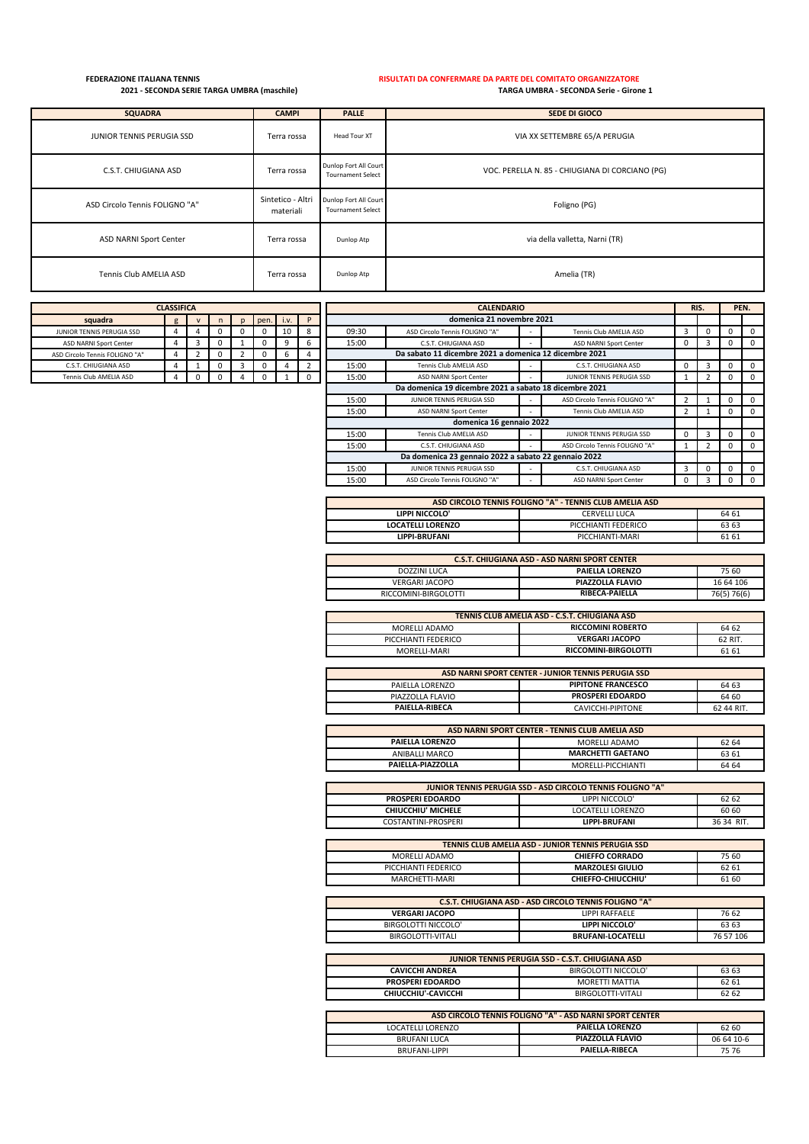## **FEDERAZIONE ITALIANA TENNIS RISULTATI DA CONFERMARE DA PARTE DEL COMITATO ORGANIZZATORE 2021 - SECONDA SERIE TARGA UMBRA (maschile) TARGA UMBRA - SECONDA Serie - Girone 1**

| <b>SQUADRA</b>                 | <b>CAMPI</b>                   | <b>PALLE</b>                                      | SEDE DI GIOCO                                   |
|--------------------------------|--------------------------------|---------------------------------------------------|-------------------------------------------------|
| JUNIOR TENNIS PERUGIA SSD      | Terra rossa                    | Head Tour XT                                      | VIA XX SETTEMBRE 65/A PERUGIA                   |
| C.S.T. CHIUGIANA ASD           | Terra rossa                    | Dunlop Fort All Court<br><b>Tournament Select</b> | VOC. PERELLA N. 85 - CHIUGIANA DI CORCIANO (PG) |
| ASD Circolo Tennis FOLIGNO "A" | Sintetico - Altri<br>materiali | Dunlop Fort All Court<br><b>Tournament Select</b> | Foligno (PG)                                    |
| <b>ASD NARNI Sport Center</b>  | Terra rossa                    | Dunlop Atp                                        | via della valletta, Narni (TR)                  |
| Tennis Club AMELIA ASD         | Terra rossa                    | Dunlop Atp                                        | Amelia (TR)                                     |

| <b>CLASSIFICA</b>              |  |  |   |  |      |      |  |       | <b>CALENDARIO</b>                                      |  |                               |  | RIS. | PEN.     |
|--------------------------------|--|--|---|--|------|------|--|-------|--------------------------------------------------------|--|-------------------------------|--|------|----------|
| squadra                        |  |  | n |  | pen. | i.v. |  |       | domenica 21 novembre 2021                              |  |                               |  |      |          |
| JUNIOR TENNIS PERUGIA SSD      |  |  |   |  |      | 10   |  | 09:30 | ASD Circolo Tennis FOLIGNO "A"                         |  | Tennis Club AMELIA ASD        |  |      |          |
| ASD NARNI Sport Center         |  |  |   |  |      |      |  | 15:00 | C.S.T. CHIUGIANA ASD                                   |  | <b>ASD NARNI Sport Center</b> |  |      | $\Omega$ |
| ASD Circolo Tennis FOLIGNO "A" |  |  |   |  |      |      |  |       | Da sabato 11 dicembre 2021 a domenica 12 dicembre 2021 |  |                               |  |      |          |
| C.S.T. CHIUGIANA ASD           |  |  |   |  |      |      |  | 15:00 | Tennis Club AMELIA ASD                                 |  | C.S.T. CHIUGIANA ASD          |  |      | $\Omega$ |
| Tennis Club AMELIA ASD         |  |  |   |  |      |      |  | 15:00 | ASD NARNI Sport Center                                 |  | JUNIOR TENNIS PERUGIA SSD     |  |      | $\Omega$ |
|                                |  |  |   |  |      |      |  |       | Da domenica 19 dicembre 2021 a sabato 18 dicembre 2021 |  |                               |  |      |          |

| <b>UY:3U</b> | ASD Circolo Tennis FOLIGNO "A"                         |   | Tennis Club Amelia asd         | 3 | υ | U        | v        |
|--------------|--------------------------------------------------------|---|--------------------------------|---|---|----------|----------|
| 15:00        | C.S.T. CHIUGIANA ASD                                   | ٠ | ASD NARNI Sport Center         | 0 | 3 | $\Omega$ | 0        |
|              | Da sabato 11 dicembre 2021 a domenica 12 dicembre 2021 |   |                                |   |   |          |          |
| 15:00        | Tennis Club AMELIA ASD                                 |   | C.S.T. CHIUGIANA ASD           | 0 | 3 | $\Omega$ | 0        |
| 15:00        | ASD NARNI Sport Center                                 | - | JUNIOR TENNIS PERUGIA SSD      |   | 2 | $\Omega$ | $\Omega$ |
|              | Da domenica 19 dicembre 2021 a sabato 18 dicembre 2021 |   |                                |   |   |          |          |
| 15:00        | JUNIOR TENNIS PERUGIA SSD                              |   | ASD Circolo Tennis FOLIGNO "A" | 2 |   | $\Omega$ | $\Omega$ |
| 15:00        | ASD NARNI Sport Center                                 | ۰ | Tennis Club AMELIA ASD         | 2 |   | $\Omega$ | 0        |
|              | domenica 16 gennaio 2022                               |   |                                |   |   |          |          |
| 15:00        | Tennis Club AMELIA ASD                                 | - | JUNIOR TENNIS PERUGIA SSD      | 0 | 3 | $\Omega$ | 0        |
| 15:00        | C.S.T. CHIUGIANA ASD                                   | ٠ | ASD Circolo Tennis FOLIGNO "A" |   | 2 | $\Omega$ | $\Omega$ |
|              | Da domenica 23 gennaio 2022 a sabato 22 gennaio 2022   |   |                                |   |   |          |          |
| 15:00        | JUNIOR TENNIS PERUGIA SSD                              | ۰ | C.S.T. CHIUGIANA ASD           | 3 | 0 | $\Omega$ | $\Omega$ |
| 15:00        | ASD Circolo Tennis FOLIGNO "A"                         |   | ASD NARNI Sport Center         | 0 | 3 | $\Omega$ | $\Omega$ |

| ASD CIRCOLO TENNIS FOLIGNO "A" - TENNIS CLUB AMELIA ASD |                      |           |  |  |
|---------------------------------------------------------|----------------------|-----------|--|--|
| LIPPI NICCOLO'                                          | <b>CERVELLI LUCA</b> | 64 61     |  |  |
| <b>LOCATELLI LORENZO</b>                                | PICCHIANTI FEDERICO  | 63 63     |  |  |
| <b>LIPPI-BRUFANI</b>                                    | PICCHIANTI-MARI      | 61 61     |  |  |
|                                                         |                      |           |  |  |
| <b>C.S.T. CHIUGIANA ASD - ASD NARNI SPORT CENTER</b>    |                      |           |  |  |
| PAIELLA LORENZO<br>75 60<br>DOZZINI LUCA                |                      |           |  |  |
| VERGARI JACOPO                                          | PIAZZOLLA FLAVIO     | 16 64 106 |  |  |

| VERGARI JACOPO       | PIAZZOLLA FLAVIO                              | 16 64 106   |
|----------------------|-----------------------------------------------|-------------|
| RICCOMINI-BIRGOLOTTI | <b>RIBECA-PAIELLA</b>                         | 76(5) 76(6) |
|                      |                                               |             |
|                      | TENNIS CLUB AMELIA ASD - C.S.T. CHIUGIANA ASD |             |
| MORELLI ADAMO        | <b>RICCOMINI ROBERTO</b>                      | 64 62       |

| <b>NUKELLI ADAMU</b> | <b>KILLUMINI KUBEKIU</b>                             | 64 62   |
|----------------------|------------------------------------------------------|---------|
| PICCHIANTI FEDERICO  | <b>VERGARI JACOPO</b>                                | 62 RIT. |
| MORELLI-MARI         | RICCOMINI-BIRGOLOTTI                                 | 61 61   |
|                      |                                                      |         |
|                      | ASD NARNI SPORT CENTER - ILINIOR TENNIS PERLIGIA SSD |         |

| ASD NAMNI SPONT CENTER - JONION TENNIS FENOGIA SSD |                           |            |  |  |
|----------------------------------------------------|---------------------------|------------|--|--|
| PAIELLA LORENZO                                    | <b>PIPITONE FRANCESCO</b> | 64 63      |  |  |
| PIAZZOLLA FLAVIO                                   | <b>PROSPERI EDOARDO</b>   | 64 60      |  |  |
| PAIELLA-RIBECA                                     | CAVICCHI-PIPITONE         | 62 44 RIT. |  |  |

| ASD NARNI SPORT CENTER - TENNIS CLUB AMELIA ASD |                          |       |  |  |  |
|-------------------------------------------------|--------------------------|-------|--|--|--|
| <b>PAIELLA LORENZO</b>                          | MORELLI ADAMO            | 62 64 |  |  |  |
| ANIBALLI MARCO                                  | <b>MARCHETTI GAETANO</b> | 63 61 |  |  |  |
| PAIELLA-PIAZZOLLA                               | MORELLI-PICCHIANTI       | 64 64 |  |  |  |
|                                                 |                          |       |  |  |  |

| <b>JUNIOR TENNIS PERUGIA SSD - ASD CIRCOLO TENNIS FOLIGNO "A"</b> |                      |            |  |  |  |
|-------------------------------------------------------------------|----------------------|------------|--|--|--|
| <b>PROSPERI EDOARDO</b>                                           | LIPPI NICCOLO'       | 62 62      |  |  |  |
| CHIUCCHIU' MICHELE                                                | LOCATELLI LORENZO    | 60 60      |  |  |  |
| COSTANTINI-PROSPERI                                               | <b>LIPPI-BRUFANI</b> | 36.34 RIT. |  |  |  |

| TENNIS CLUB AMELIA ASD - JUNIOR TENNIS PERUGIA SSD |                         |       |  |  |  |
|----------------------------------------------------|-------------------------|-------|--|--|--|
| MORELLI ADAMO                                      | <b>CHIEFFO CORRADO</b>  | 75 60 |  |  |  |
| PICCHIANTI FEDERICO                                | <b>MARZOLESI GIULIO</b> | 62 61 |  |  |  |
| MARCHETTI-MARI                                     | CHIEFFO-CHIUCCHIU'      | 61 60 |  |  |  |

| <b>C.S.T. CHIUGIANA ASD - ASD CIRCOLO TENNIS FOLIGNO "A"</b> |                          |           |  |  |
|--------------------------------------------------------------|--------------------------|-----------|--|--|
| <b>VERGARI JACOPO</b>                                        | <b>I IPPI RAFFAFI F</b>  | 76 62     |  |  |
| BIRGOLOTTI NICCOLO'                                          | LIPPI NICCOLO'           | 63 63     |  |  |
| BIRGOLOTTI-VITALI                                            | <b>BRUFANI-LOCATELLI</b> | 76 57 106 |  |  |
|                                                              |                          |           |  |  |

| JUNIOR TENNIS PERUGIA SSD - C.S.T. CHIUGIANA ASD |                     |       |  |  |  |
|--------------------------------------------------|---------------------|-------|--|--|--|
| <b>CAVICCHI ANDREA</b>                           | BIRGOLOTTI NICCOLO' | 63 63 |  |  |  |
| <b>PROSPERI EDOARDO</b>                          | MORETTI MATTIA      | 62 61 |  |  |  |
| CHIUCCHIU'-CAVICCHI                              | BIRGOLOTTI-VITALI   | 62 62 |  |  |  |

| ASD CIRCOLO TENNIS FOLIGNO "A" - ASD NARNI SPORT CENTER |                        |            |  |  |  |  |  |  |  |
|---------------------------------------------------------|------------------------|------------|--|--|--|--|--|--|--|
| LOCATELLI LORENZO                                       | <b>PAIELLA LORENZO</b> | 62 60      |  |  |  |  |  |  |  |
| BRUFANI LUCA                                            | PIAZZOLLA FLAVIO       | 06 64 10-6 |  |  |  |  |  |  |  |
| BRUFANI-LIPPI                                           | PAIELLA-RIBECA         | 75 76      |  |  |  |  |  |  |  |